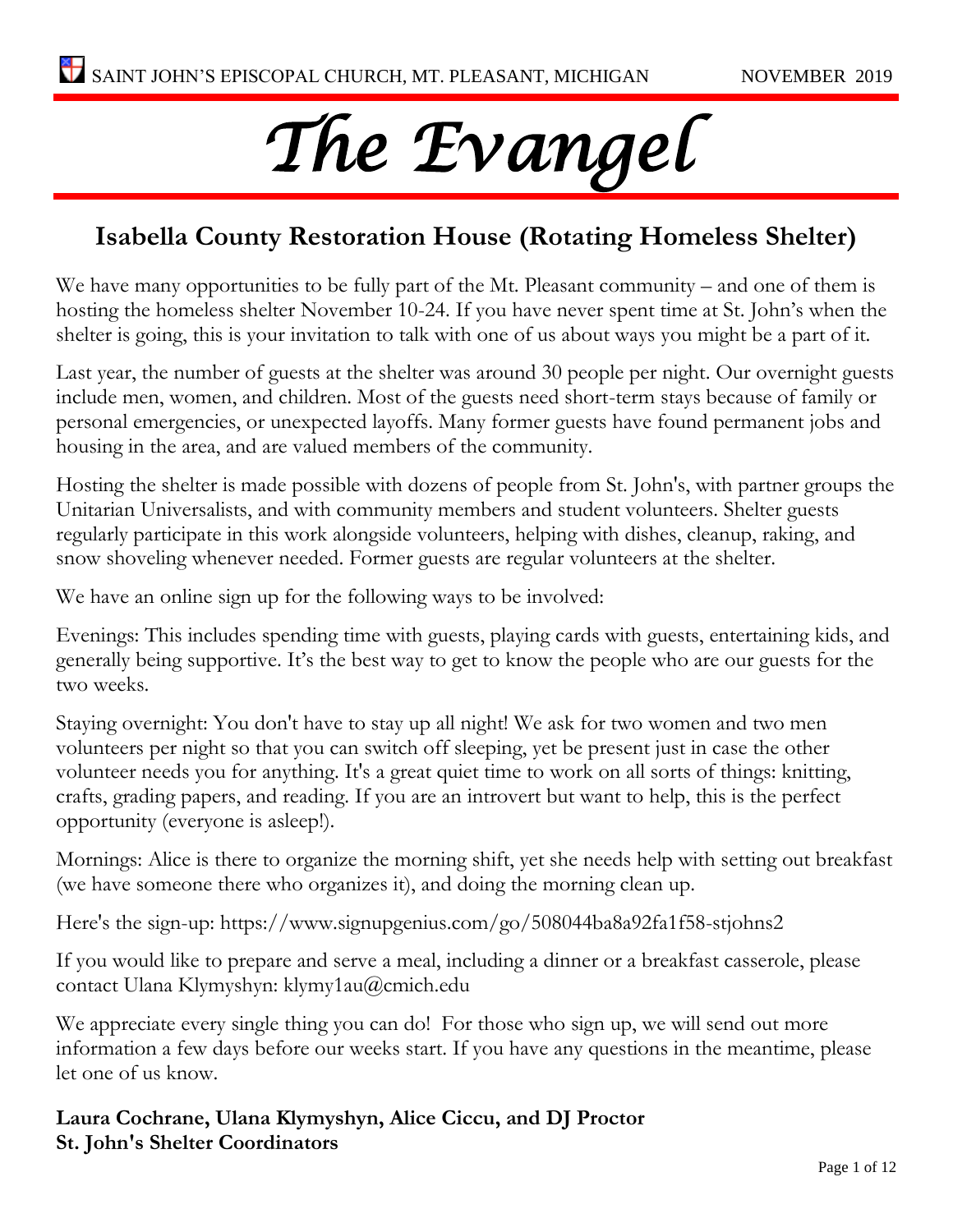# *The Evangel*

#### **Isabella County Restoration House (Rotating Homeless Shelter)**

We have many opportunities to be fully part of the Mt. Pleasant community – and one of them is hosting the homeless shelter November 10-24. If you have never spent time at St. John's when the shelter is going, this is your invitation to talk with one of us about ways you might be a part of it.

Last year, the number of guests at the shelter was around 30 people per night. Our overnight guests include men, women, and children. Most of the guests need short-term stays because of family or personal emergencies, or unexpected layoffs. Many former guests have found permanent jobs and housing in the area, and are valued members of the community.

Hosting the shelter is made possible with dozens of people from St. John's, with partner groups the Unitarian Universalists, and with community members and student volunteers. Shelter guests regularly participate in this work alongside volunteers, helping with dishes, cleanup, raking, and snow shoveling whenever needed. Former guests are regular volunteers at the shelter.

We have an online sign up for the following ways to be involved:

Evenings: This includes spending time with guests, playing cards with guests, entertaining kids, and generally being supportive. It's the best way to get to know the people who are our guests for the two weeks.

Staying overnight: You don't have to stay up all night! We ask for two women and two men volunteers per night so that you can switch off sleeping, yet be present just in case the other volunteer needs you for anything. It's a great quiet time to work on all sorts of things: knitting, crafts, grading papers, and reading. If you are an introvert but want to help, this is the perfect opportunity (everyone is asleep!).

Mornings: Alice is there to organize the morning shift, yet she needs help with setting out breakfast (we have someone there who organizes it), and doing the morning clean up.

Here's the sign-up: https://www.signupgenius.com/go/508044ba8a92fa1f58-stjohns2

If you would like to prepare and serve a meal, including a dinner or a breakfast casserole, please contact Ulana Klymyshyn: klymy1au@cmich.edu

We appreciate every single thing you can do! For those who sign up, we will send out more information a few days before our weeks start. If you have any questions in the meantime, please let one of us know.

**Laura Cochrane, Ulana Klymyshyn, Alice Ciccu, and DJ Proctor St. John's Shelter Coordinators**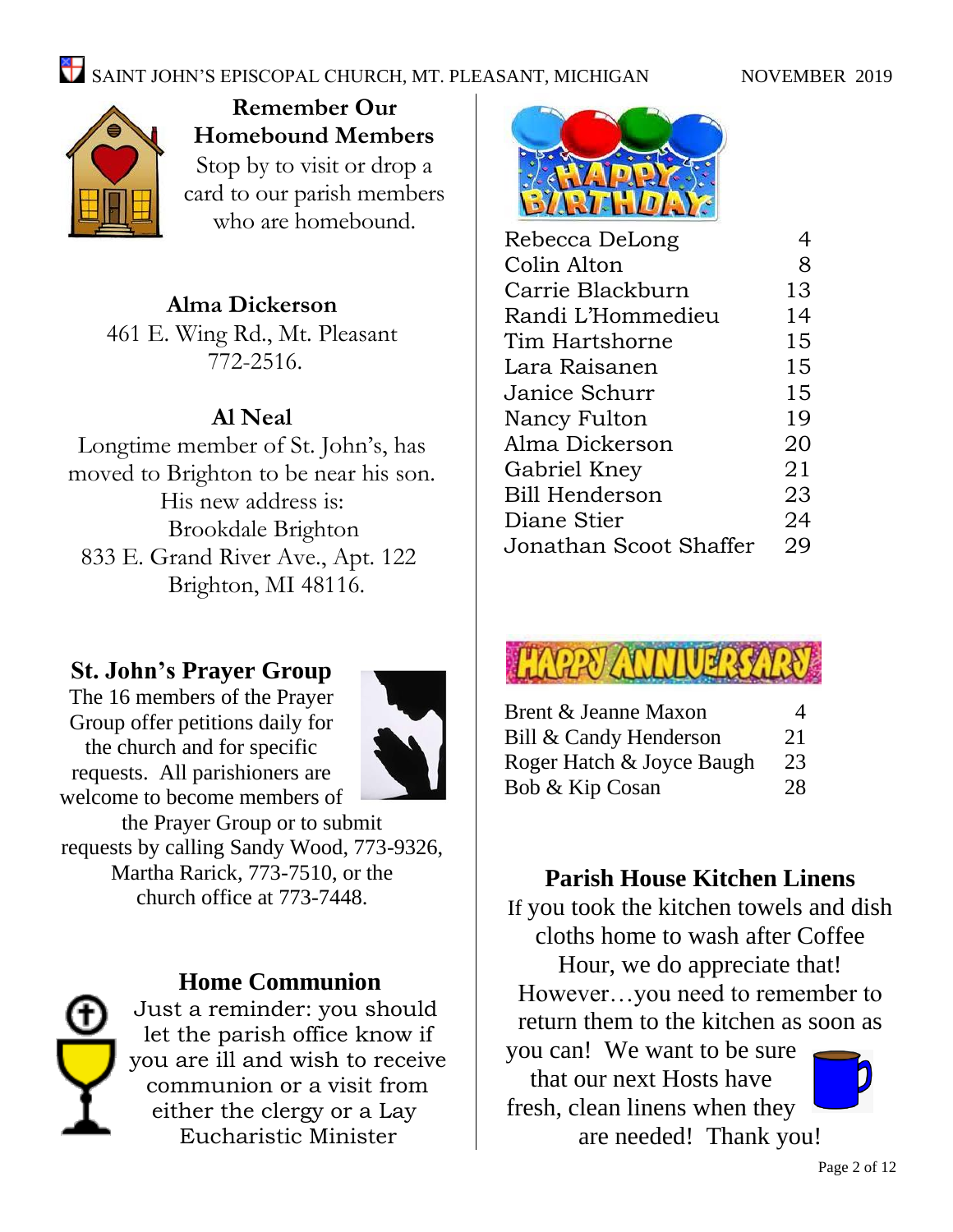## SAINT JOHN'S EPISCOPAL CHURCH, MT. PLEASANT, MICHIGAN NOVEMBER 2019



**Remember Our Homebound Members** Stop by to visit or drop a card to our parish members who are homebound.

#### **Alma Dickerson**

461 E. Wing Rd., Mt. Pleasant 772-2516.

#### **Al Neal**

Longtime member of St. John's, has moved to Brighton to be near his son. His new address is: Brookdale Brighton 833 E. Grand River Ave., Apt. 122 Brighton, MI 48116.

#### **St. John's Prayer Group**

The 16 members of the Prayer Group offer petitions daily for the church and for specific requests. All parishioners are welcome to become members of



the Prayer Group or to submit requests by calling Sandy Wood, 773-9326, Martha Rarick, 773-7510, or the church office at 773-7448.



#### **Home Communion**

Just a reminder: you should let the parish office know if you are ill and wish to receive communion or a visit from either the clergy or a Lay Eucharistic Minister



| Rebecca DeLong         | 4  |
|------------------------|----|
| Colin Alton            | 8  |
| Carrie Blackburn       | 13 |
| Randi L'Hommedieu      | 14 |
| Tim Hartshorne         | 15 |
| Lara Raisanen          | 15 |
| Janice Schurr          | 15 |
| Nancy Fulton           | 19 |
| Alma Dickerson         | 20 |
| Gabriel Kney           | 21 |
| Bill Henderson         | 23 |
| Diane Stier            | 24 |
| Jonathan Scoot Shaffer | 29 |
|                        |    |



| Brent & Jeanne Maxon      | $\overline{4}$ |
|---------------------------|----------------|
| Bill & Candy Henderson    | 21             |
| Roger Hatch & Joyce Baugh | 23             |
| Bob & Kip Cosan           | 28             |

#### **Parish House Kitchen Linens**

If you took the kitchen towels and dish cloths home to wash after Coffee

Hour, we do appreciate that! However…you need to remember to return them to the kitchen as soon as

you can! We want to be sure that our next Hosts have fresh, clean linens when they are needed! Thank you!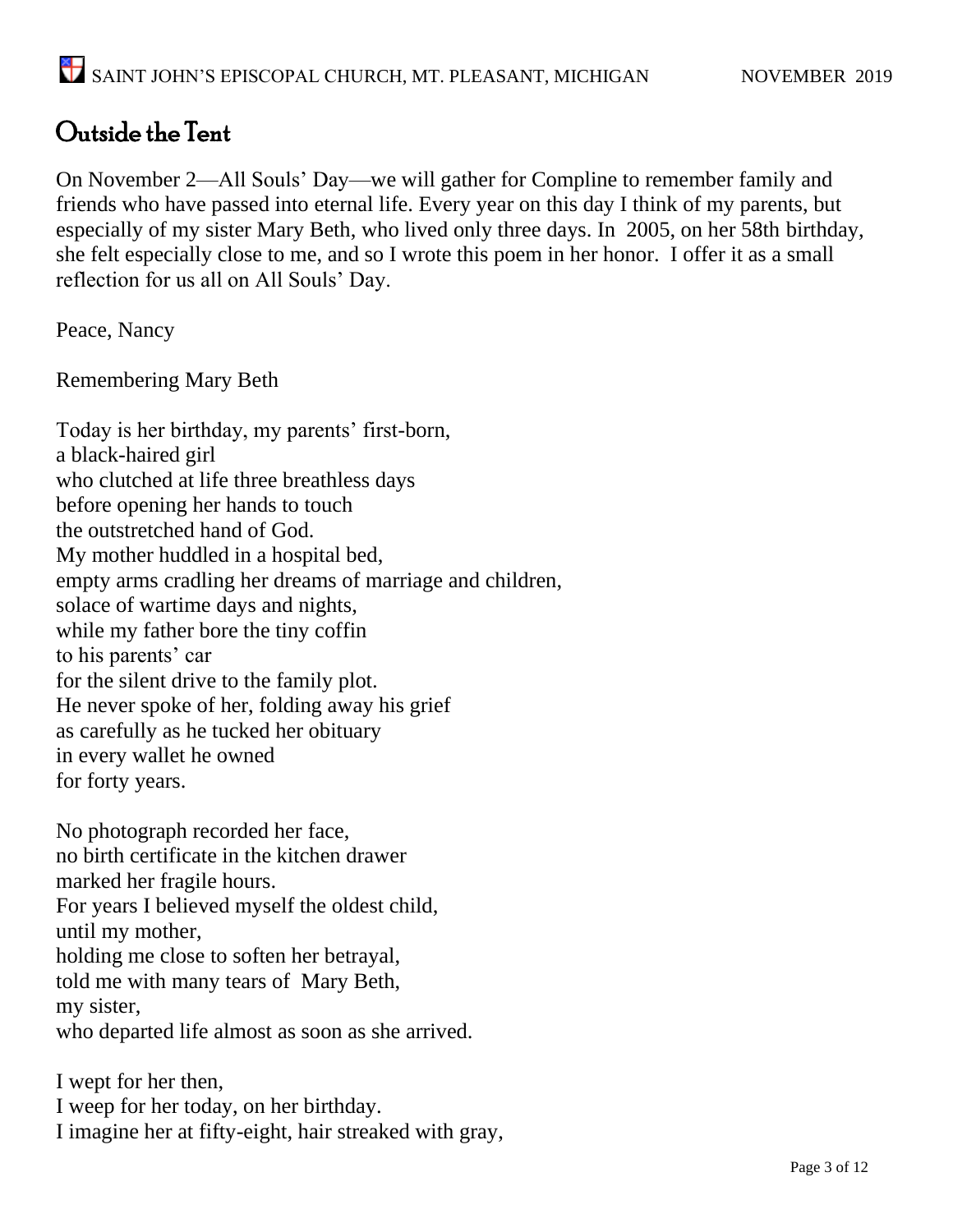### Outside the Tent

On November 2—All Souls' Day—we will gather for Compline to remember family and friends who have passed into eternal life. Every year on this day I think of my parents, but especially of my sister Mary Beth, who lived only three days. In 2005, on her 58th birthday, she felt especially close to me, and so I wrote this poem in her honor. I offer it as a small reflection for us all on All Souls' Day.

Peace, Nancy

Remembering Mary Beth

Today is her birthday, my parents' first-born, a black-haired girl who clutched at life three breathless days before opening her hands to touch the outstretched hand of God. My mother huddled in a hospital bed, empty arms cradling her dreams of marriage and children, solace of wartime days and nights, while my father bore the tiny coffin to his parents' car for the silent drive to the family plot. He never spoke of her, folding away his grief as carefully as he tucked her obituary in every wallet he owned for forty years. No photograph recorded her face, no birth certificate in the kitchen drawer

marked her fragile hours. For years I believed myself the oldest child, until my mother, holding me close to soften her betrayal, told me with many tears of Mary Beth, my sister, who departed life almost as soon as she arrived.

I wept for her then, I weep for her today, on her birthday. I imagine her at fifty-eight, hair streaked with gray,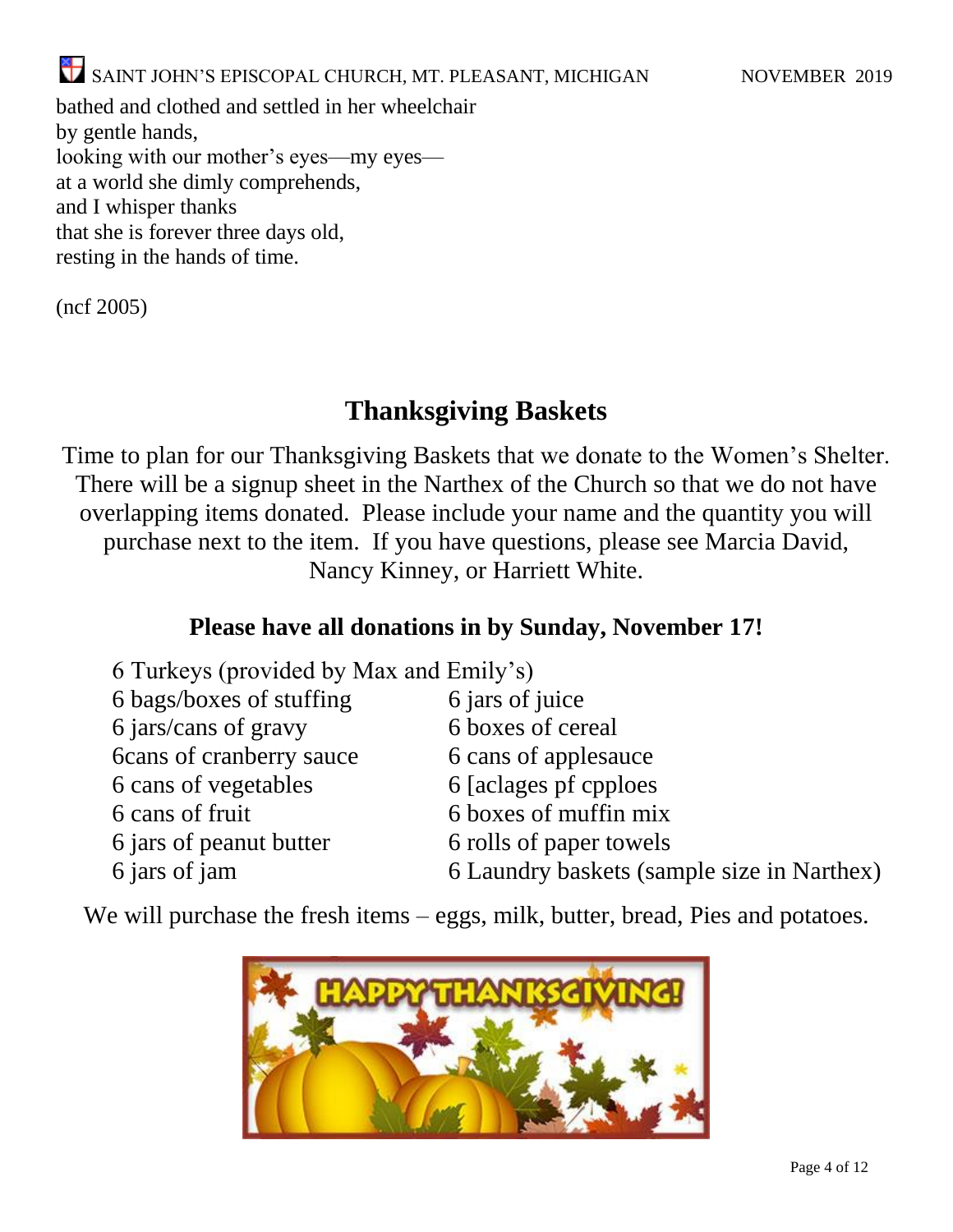bathed and clothed and settled in her wheelchair by gentle hands, looking with our mother's eyes—my eyes at a world she dimly comprehends, and I whisper thanks that she is forever three days old, resting in the hands of time.

(ncf 2005)

#### **Thanksgiving Baskets**

Time to plan for our Thanksgiving Baskets that we donate to the Women's Shelter. There will be a signup sheet in the Narthex of the Church so that we do not have overlapping items donated. Please include your name and the quantity you will purchase next to the item. If you have questions, please see Marcia David, Nancy Kinney, or Harriett White.

#### **Please have all donations in by Sunday, November 17!**

| 6 Turkeys (provided by Max and Emily's)    |
|--------------------------------------------|
| 6 jars of juice                            |
| 6 boxes of cereal                          |
| 6 cans of applesauce                       |
| 6 [aclages pf cpploes]                     |
| 6 boxes of muffin mix                      |
| 6 rolls of paper towels                    |
| 6 Laundry baskets (sample size in Narthex) |
|                                            |

We will purchase the fresh items – eggs, milk, butter, bread, Pies and potatoes.

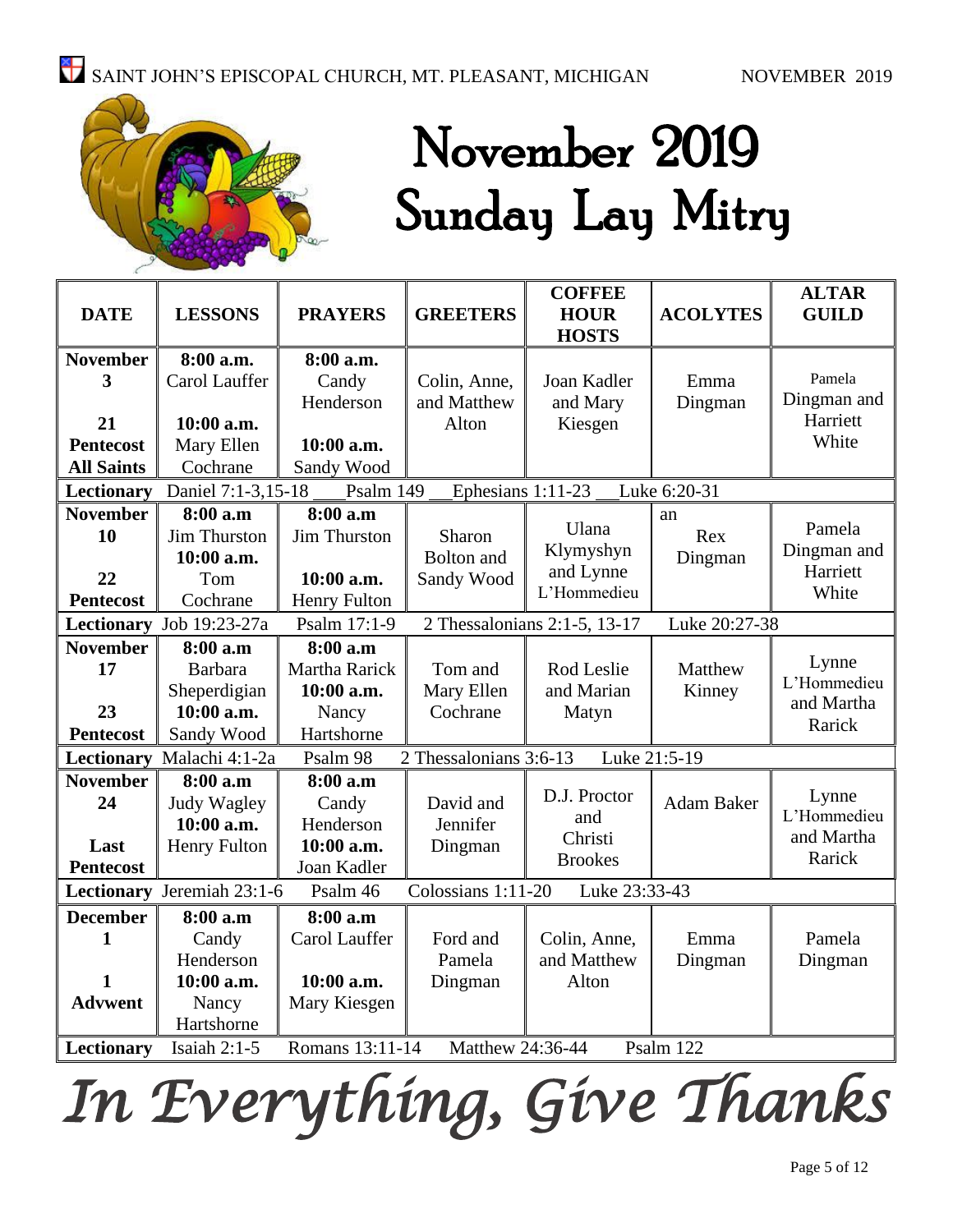

## November 2019 Sunday Lay Mitry

| <b>DATE</b>                                                                   | <b>LESSONS</b>            | <b>PRAYERS</b>      | <b>GREETERS</b>        | <b>COFFEE</b><br><b>HOUR</b> | <b>ACOLYTES</b>   | <b>ALTAR</b><br><b>GUILD</b> |
|-------------------------------------------------------------------------------|---------------------------|---------------------|------------------------|------------------------------|-------------------|------------------------------|
|                                                                               |                           |                     |                        | <b>HOSTS</b>                 |                   |                              |
| <b>November</b>                                                               | 8:00 a.m.                 | 8:00 a.m.           |                        |                              |                   |                              |
| 3                                                                             | Carol Lauffer             | Candy               | Colin, Anne,           | Joan Kadler                  | Emma              | Pamela                       |
|                                                                               |                           | Henderson           | and Matthew            | and Mary                     | Dingman           | Dingman and                  |
| 21                                                                            | 10:00 a.m.                |                     | Alton                  | Kiesgen                      |                   | Harriett                     |
| <b>Pentecost</b>                                                              | Mary Ellen                | 10:00 a.m.          |                        |                              |                   | White                        |
| <b>All Saints</b>                                                             | Cochrane                  | Sandy Wood          |                        |                              |                   |                              |
| Lectionary                                                                    | Daniel 7:1-3,15-18        | Psalm 149           | Ephesians 1:11-23      |                              | Luke 6:20-31      |                              |
| <b>November</b>                                                               | 8:00 a.m                  | 8:00 a.m            |                        | Ulana                        | an                | Pamela                       |
| 10                                                                            | Jim Thurston              | <b>Jim Thurston</b> | Sharon                 | Klymyshyn                    | Rex               | Dingman and                  |
|                                                                               | 10:00 a.m.                |                     | <b>Bolton</b> and      | and Lynne                    | Dingman           | Harriett                     |
| 22                                                                            | Tom                       | 10:00 a.m.          | Sandy Wood             | L'Hommedieu                  |                   | White                        |
| Pentecost                                                                     | Cochrane                  | Henry Fulton        |                        |                              |                   |                              |
| <b>Lectionary</b>                                                             | Job 19:23-27a             | Psalm 17:1-9        |                        | 2 Thessalonians 2:1-5, 13-17 | Luke 20:27-38     |                              |
| <b>November</b>                                                               | 8:00 a.m                  | 8:00 a.m            |                        |                              |                   | Lynne                        |
| 17                                                                            | <b>Barbara</b>            | Martha Rarick       | Tom and                | Rod Leslie                   | Matthew           | L'Hommedieu                  |
|                                                                               | Sheperdigian              | 10:00 a.m.          | Mary Ellen             | and Marian                   | Kinney            | and Martha                   |
| 23                                                                            | 10:00 a.m.                | Nancy               | Cochrane               | Matyn                        |                   | Rarick                       |
| <b>Pentecost</b>                                                              | Sandy Wood                | Hartshorne          |                        |                              |                   |                              |
|                                                                               | Lectionary Malachi 4:1-2a | Psalm 98            | 2 Thessalonians 3:6-13 |                              | Luke 21:5-19      |                              |
| <b>November</b>                                                               | 8:00 a.m                  | 8:00 a.m            |                        | D.J. Proctor                 |                   |                              |
| 24                                                                            | Judy Wagley               | Candy               | David and              | and                          | <b>Adam Baker</b> | Lynne<br>L'Hommedieu         |
|                                                                               | 10:00 a.m.                | Henderson           | Jennifer               | Christi                      |                   | and Martha                   |
| Last                                                                          | <b>Henry Fulton</b>       | 10:00 a.m.          | Dingman                | <b>Brookes</b>               |                   | Rarick                       |
| <b>Pentecost</b>                                                              |                           | Joan Kadler         |                        |                              |                   |                              |
| Lectionary Jeremiah 23:1-6<br>Colossians 1:11-20<br>Luke 23:33-43<br>Psalm 46 |                           |                     |                        |                              |                   |                              |
| <b>December</b>                                                               | 8:00 a.m                  | 8:00 a.m            |                        |                              |                   |                              |
| 1                                                                             | Candy                     | Carol Lauffer       | Ford and               | Colin, Anne,                 | Emma              | Pamela                       |
|                                                                               | Henderson                 |                     | Pamela                 | and Matthew                  | Dingman           | Dingman                      |
| $\mathbf{1}$                                                                  | 10:00 a.m.                | 10:00 a.m.          | Dingman                | Alton                        |                   |                              |
| <b>Advwent</b>                                                                | Nancy                     | Mary Kiesgen        |                        |                              |                   |                              |
|                                                                               | Hartshorne                |                     |                        |                              |                   |                              |
| Lectionary                                                                    | <b>Isaiah 2:1-5</b>       | Romans 13:11-14     | Matthew 24:36-44       |                              | Psalm 122         |                              |

*In Everything, Give Thanks*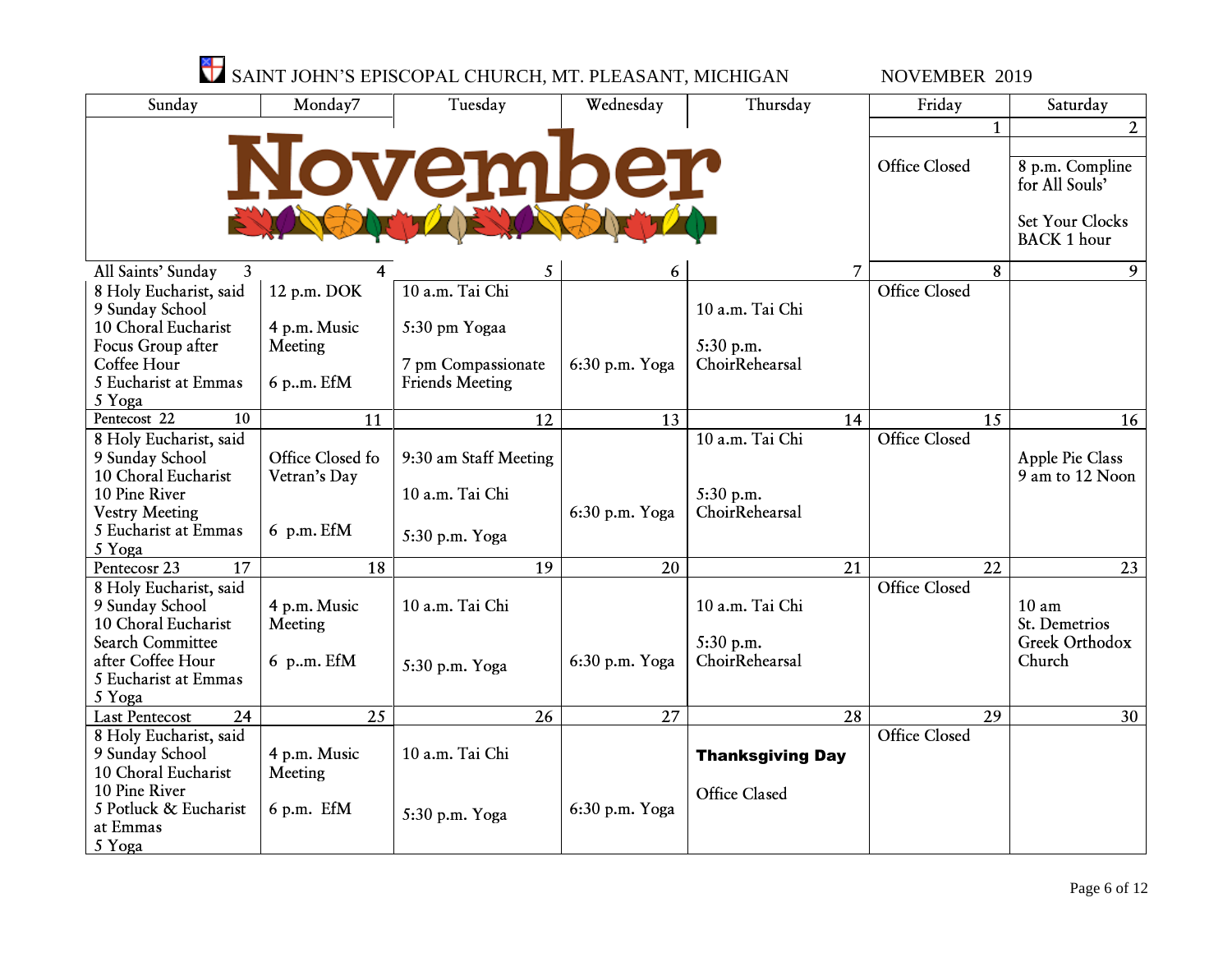|                                           |                  | SAINT JOHN'S EPISCOPAL CHURCH, MT. PLEASANT, MICHIGAN |                |                         | <b>NOVEMBER 2019</b> |                                       |
|-------------------------------------------|------------------|-------------------------------------------------------|----------------|-------------------------|----------------------|---------------------------------------|
| Sunday                                    | Monday7          | Tuesday                                               | Wednesday      | Thursday                | Friday               | Saturday                              |
|                                           |                  |                                                       |                |                         | $\mathbf{1}$         | $\overline{2}$                        |
|                                           |                  |                                                       |                |                         |                      |                                       |
|                                           |                  | over                                                  | mber           |                         | <b>Office Closed</b> | 8 p.m. Compline<br>for All Souls'     |
|                                           |                  |                                                       |                |                         |                      | Set Your Clocks<br><b>BACK 1 hour</b> |
| All Saints' Sunday<br>$\mathbf{3}$        |                  | 5                                                     | 6              | 7                       | 8                    | 9                                     |
| 8 Holy Eucharist, said                    | 12 p.m. DOK      | 10 a.m. Tai Chi                                       |                |                         | <b>Office Closed</b> |                                       |
| 9 Sunday School                           |                  |                                                       |                | 10 a.m. Tai Chi         |                      |                                       |
| 10 Choral Eucharist                       | 4 p.m. Music     | 5:30 pm Yogaa                                         |                |                         |                      |                                       |
| Focus Group after                         | Meeting          |                                                       |                | 5:30 p.m.               |                      |                                       |
| Coffee Hour                               |                  | 7 pm Compassionate                                    | 6:30 p.m. Yoga | ChoirRehearsal          |                      |                                       |
| 5 Eucharist at Emmas                      | 6 p.m. EfM       | <b>Friends Meeting</b>                                |                |                         |                      |                                       |
| 5 Yoga                                    |                  |                                                       |                |                         |                      |                                       |
| Pentecost 22<br>$\overline{10}$           | 11               | 12                                                    | 13             | 14                      | 15                   | 16                                    |
| 8 Holy Eucharist, said                    |                  |                                                       |                | 10 a.m. Tai Chi         | <b>Office Closed</b> |                                       |
| 9 Sunday School                           | Office Closed fo | 9:30 am Staff Meeting                                 |                |                         |                      | Apple Pie Class                       |
| 10 Choral Eucharist                       | Vetran's Day     |                                                       |                |                         |                      | 9 am to 12 Noon                       |
| 10 Pine River                             |                  | 10 a.m. Tai Chi                                       |                | 5:30 p.m.               |                      |                                       |
| <b>Vestry Meeting</b>                     |                  |                                                       | 6:30 p.m. Yoga | ChoirRehearsal          |                      |                                       |
| 5 Eucharist at Emmas<br>5 Yoga            | 6 p.m. EfM       | 5:30 p.m. Yoga                                        |                |                         |                      |                                       |
| $\overline{17}$<br>Pentecosr 23           | 18               | $\overline{19}$                                       | 20             | 21                      | $\overline{22}$      | 23                                    |
|                                           |                  |                                                       |                |                         | <b>Office Closed</b> |                                       |
| 8 Holy Eucharist, said<br>9 Sunday School | 4 p.m. Music     | 10 a.m. Tai Chi                                       |                | 10 a.m. Tai Chi         |                      | $10 \text{ am}$                       |
| 10 Choral Eucharist                       | Meeting          |                                                       |                |                         |                      | St. Demetrios                         |
| <b>Search Committee</b>                   |                  |                                                       |                | 5:30 p.m.               |                      | Greek Orthodox                        |
| after Coffee Hour                         | 6 p.m. EfM       |                                                       | 6:30 p.m. Yoga | ChoirRehearsal          |                      | Church                                |
| 5 Eucharist at Emmas                      |                  | 5:30 p.m. Yoga                                        |                |                         |                      |                                       |
| 5 Yoga                                    |                  |                                                       |                |                         |                      |                                       |
| 24<br><b>Last Pentecost</b>               | 25               | 26                                                    | 27             | 28                      | 29                   | 30                                    |
| 8 Holy Eucharist, said                    |                  |                                                       |                |                         | <b>Office Closed</b> |                                       |
| 9 Sunday School                           | 4 p.m. Music     | 10 a.m. Tai Chi                                       |                | <b>Thanksgiving Day</b> |                      |                                       |
| 10 Choral Eucharist                       | Meeting          |                                                       |                |                         |                      |                                       |
| 10 Pine River                             |                  |                                                       |                | <b>Office Clased</b>    |                      |                                       |
| 5 Potluck & Eucharist                     | $6$ p.m. EfM     | 5:30 p.m. Yoga                                        | 6:30 p.m. Yoga |                         |                      |                                       |
| at Emmas                                  |                  |                                                       |                |                         |                      |                                       |
| 5 Yoga                                    |                  |                                                       |                |                         |                      |                                       |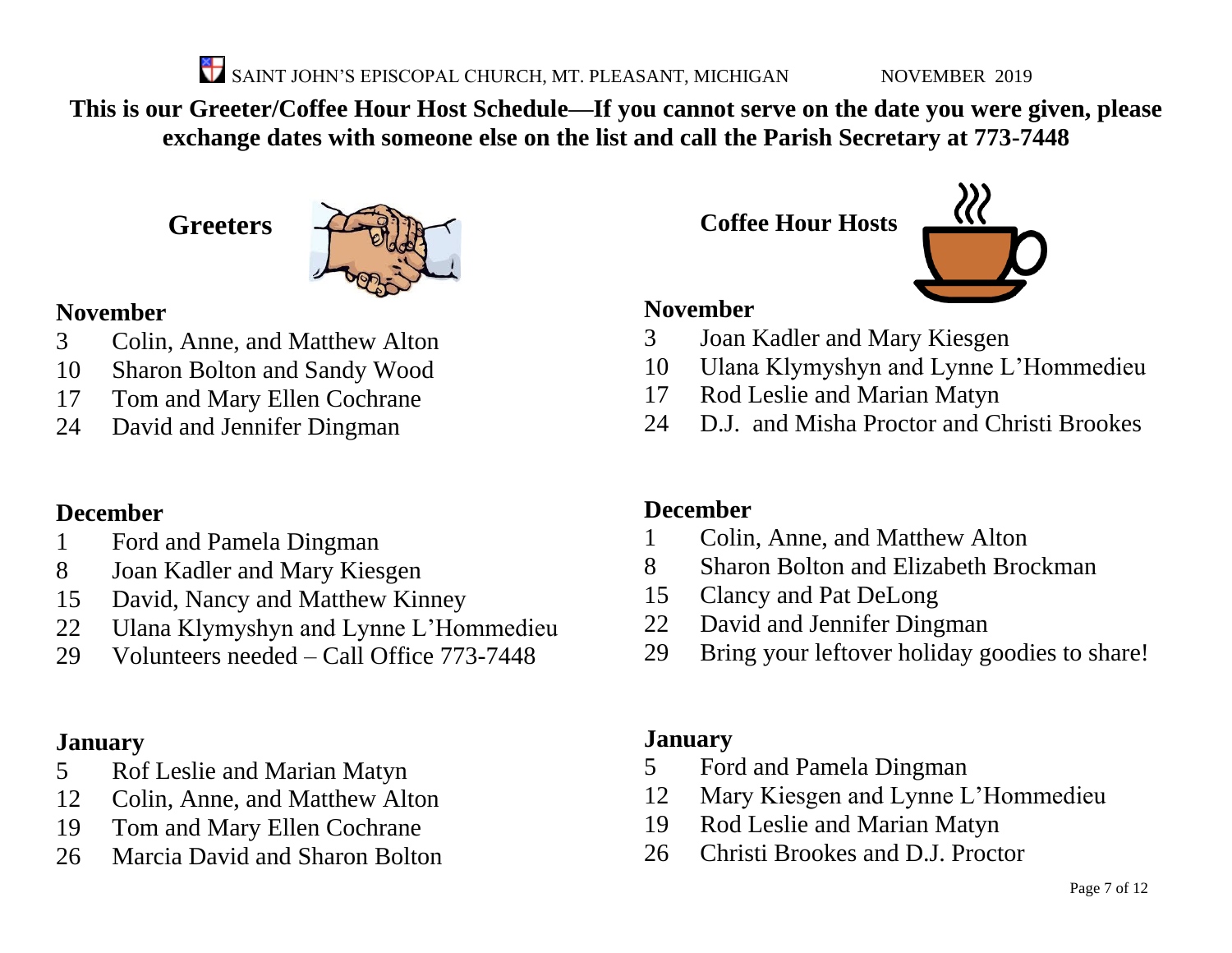SAINT JOHN'S EPISCOPAL CHURCH, MT. PLEASANT, MICHIGAN NOVEMBER 2019

**This is our Greeter/Coffee Hour Host Schedule—If you cannot serve on the date you were given, please exchange dates with someone else on the list and call the Parish Secretary at 773-7448**

**Greeters**



#### **November**

- Colin, Anne, and Matthew Alton
- Sharon Bolton and Sandy Wood
- Tom and Mary Ellen Cochrane
- David and Jennifer Dingman

#### **December**

- Ford and Pamela Dingman
- Joan Kadler and Mary Kiesgen
- David, Nancy and Matthew Kinney
- Ulana Klymyshyn and Lynne L'Hommedieu
- Volunteers needed Call Office 773-7448

#### **January**

- Rof Leslie and Marian Matyn
- Colin, Anne, and Matthew Alton
- Tom and Mary Ellen Cochrane
- Marcia David and Sharon Bolton

**Coffee Hour Hosts**



#### **November**

- Joan Kadler and Mary Kiesgen
- Ulana Klymyshyn and Lynne L'Hommedieu
- Rod Leslie and Marian Matyn
- D.J. and Misha Proctor and Christi Brookes

#### **December**

- Colin, Anne, and Matthew Alton
- Sharon Bolton and Elizabeth Brockman
- Clancy and Pat DeLong
- David and Jennifer Dingman
- Bring your leftover holiday goodies to share!

#### **January**

- Ford and Pamela Dingman
- Mary Kiesgen and Lynne L'Hommedieu
- Rod Leslie and Marian Matyn
- Christi Brookes and D.J. Proctor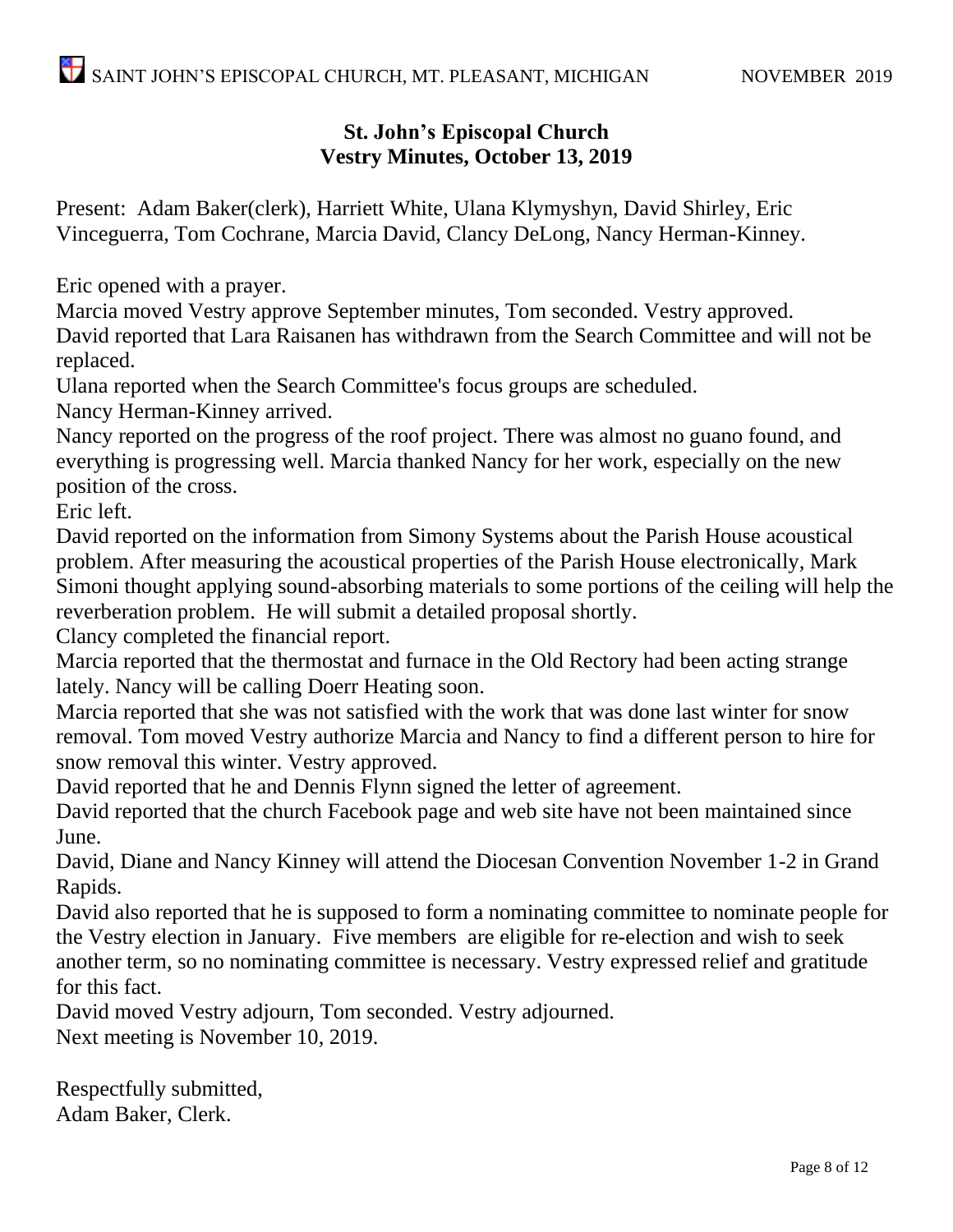#### **St. John's Episcopal Church Vestry Minutes, October 13, 2019**

Present: Adam Baker(clerk), Harriett White, Ulana Klymyshyn, David Shirley, Eric Vinceguerra, Tom Cochrane, Marcia David, Clancy DeLong, Nancy Herman-Kinney.

Eric opened with a prayer.

Marcia moved Vestry approve September minutes, Tom seconded. Vestry approved. David reported that Lara Raisanen has withdrawn from the Search Committee and will not be replaced.

Ulana reported when the Search Committee's focus groups are scheduled.

Nancy Herman-Kinney arrived.

Nancy reported on the progress of the roof project. There was almost no guano found, and everything is progressing well. Marcia thanked Nancy for her work, especially on the new position of the cross.

Eric left.

David reported on the information from Simony Systems about the Parish House acoustical problem. After measuring the acoustical properties of the Parish House electronically, Mark Simoni thought applying sound-absorbing materials to some portions of the ceiling will help the reverberation problem. He will submit a detailed proposal shortly.

Clancy completed the financial report.

Marcia reported that the thermostat and furnace in the Old Rectory had been acting strange lately. Nancy will be calling Doerr Heating soon.

Marcia reported that she was not satisfied with the work that was done last winter for snow removal. Tom moved Vestry authorize Marcia and Nancy to find a different person to hire for snow removal this winter. Vestry approved.

David reported that he and Dennis Flynn signed the letter of agreement.

David reported that the church Facebook page and web site have not been maintained since June.

David, Diane and Nancy Kinney will attend the Diocesan Convention November 1-2 in Grand Rapids.

David also reported that he is supposed to form a nominating committee to nominate people for the Vestry election in January. Five members are eligible for re-election and wish to seek another term, so no nominating committee is necessary. Vestry expressed relief and gratitude for this fact.

David moved Vestry adjourn, Tom seconded. Vestry adjourned.

Next meeting is November 10, 2019.

Respectfully submitted, Adam Baker, Clerk.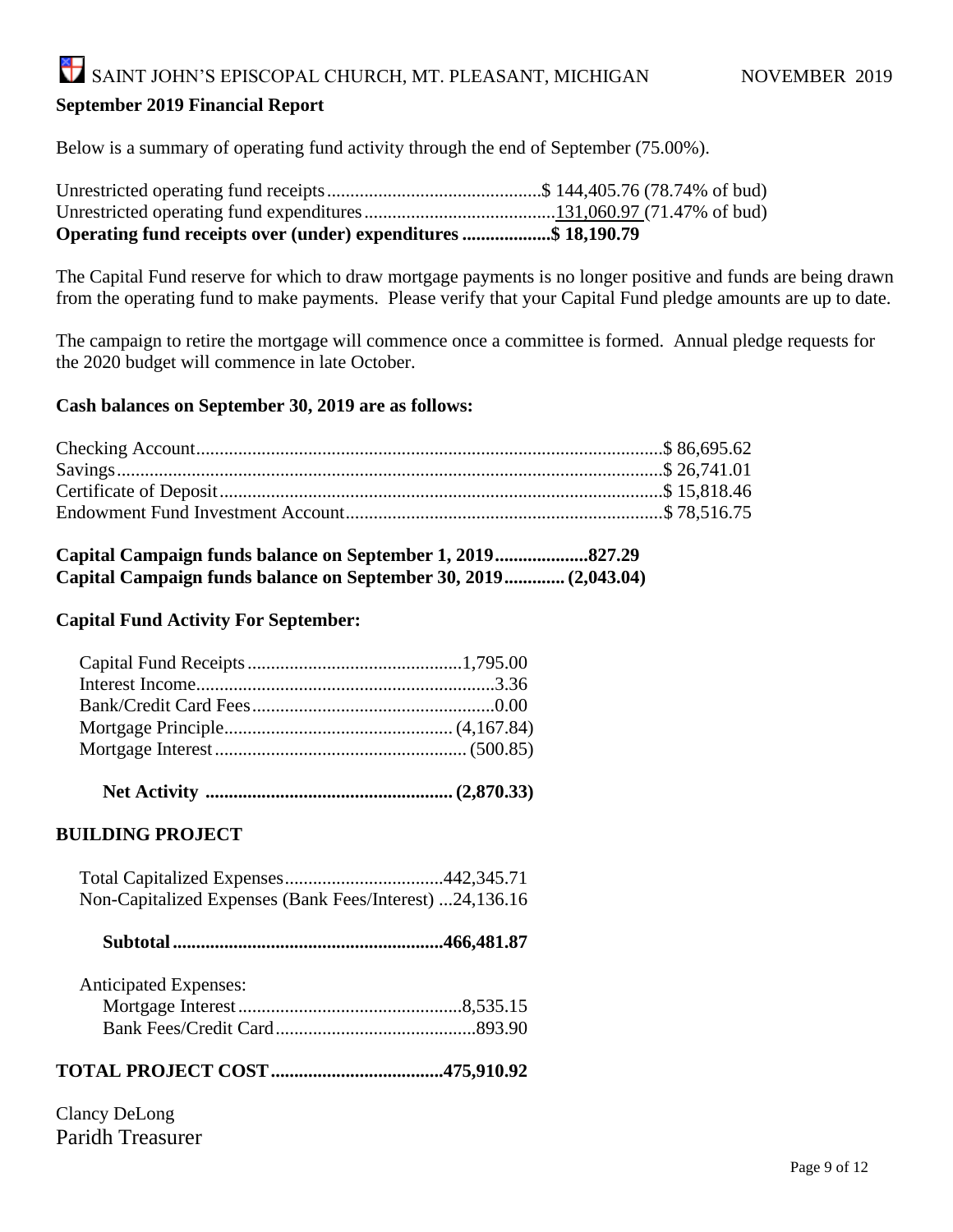#### **September 2019 Financial Report**

Below is a summary of operating fund activity through the end of September (75.00%).

| Operating fund receipts over (under) expenditures \$ 18,190.79 |  |
|----------------------------------------------------------------|--|

The Capital Fund reserve for which to draw mortgage payments is no longer positive and funds are being drawn from the operating fund to make payments. Please verify that your Capital Fund pledge amounts are up to date.

The campaign to retire the mortgage will commence once a committee is formed. Annual pledge requests for the 2020 budget will commence in late October.

#### **Cash balances on September 30, 2019 are as follows:**

| Capital Campaign funds balance on September 30, 2019 (2,043.04) |  |
|-----------------------------------------------------------------|--|

#### **Capital Fund Activity For September:**

 **Net Activity ..................................................... (2,870.33)**

#### **BUILDING PROJECT**

| Non-Capitalized Expenses (Bank Fees/Interest) 24,136.16 |  |
|---------------------------------------------------------|--|

|--|--|--|

| <b>Anticipated Expenses:</b> |  |
|------------------------------|--|
|                              |  |
|                              |  |

#### **TOTAL PROJECT COST.....................................475,910.92**

Clancy DeLong Paridh Treasurer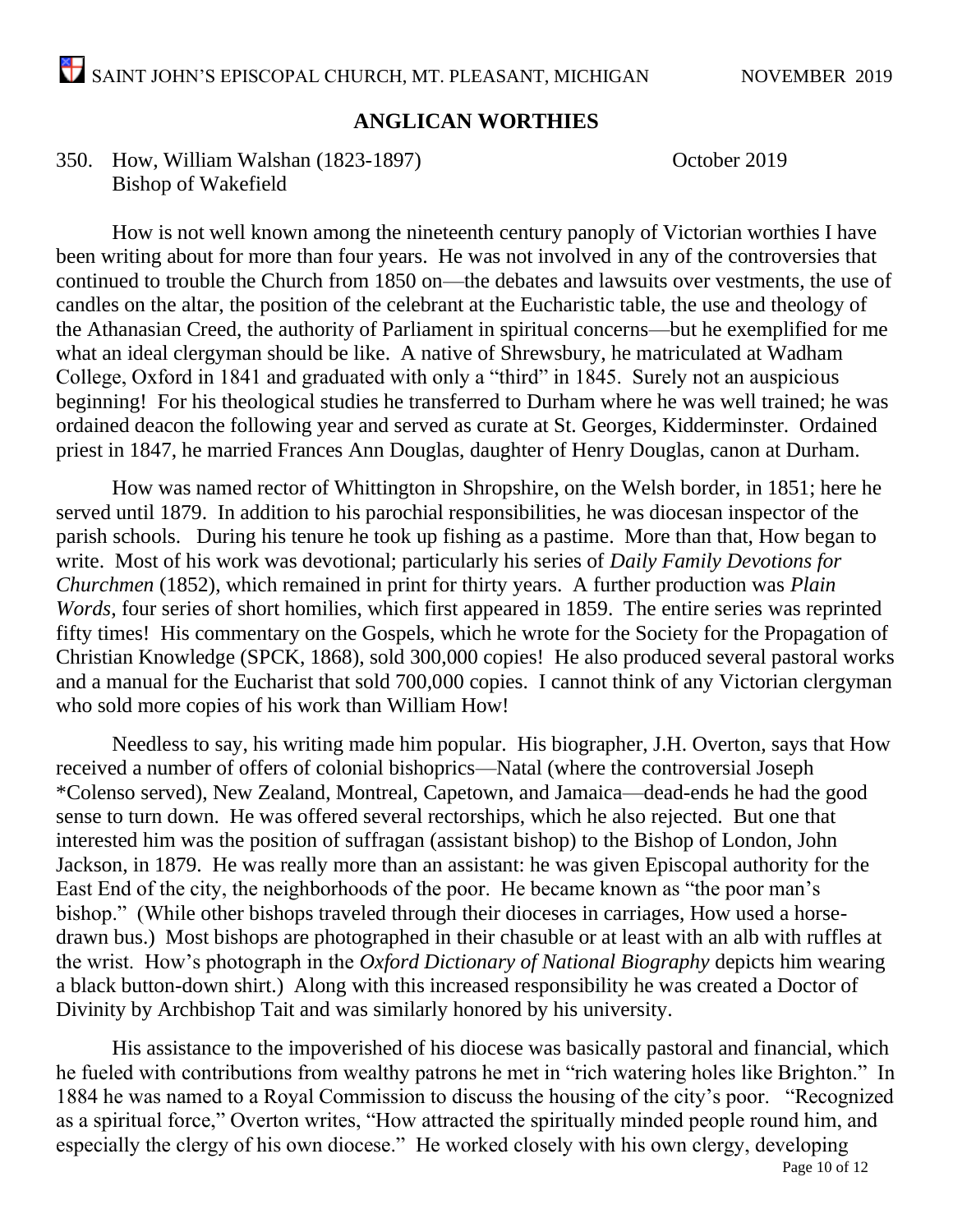#### **ANGLICAN WORTHIES**

#### 350. How, William Walshan (1823-1897) October 2019 Bishop of Wakefield

How is not well known among the nineteenth century panoply of Victorian worthies I have been writing about for more than four years. He was not involved in any of the controversies that continued to trouble the Church from 1850 on—the debates and lawsuits over vestments, the use of candles on the altar, the position of the celebrant at the Eucharistic table, the use and theology of the Athanasian Creed, the authority of Parliament in spiritual concerns—but he exemplified for me what an ideal clergyman should be like. A native of Shrewsbury, he matriculated at Wadham College, Oxford in 1841 and graduated with only a "third" in 1845. Surely not an auspicious beginning! For his theological studies he transferred to Durham where he was well trained; he was ordained deacon the following year and served as curate at St. Georges, Kidderminster. Ordained priest in 1847, he married Frances Ann Douglas, daughter of Henry Douglas, canon at Durham.

How was named rector of Whittington in Shropshire, on the Welsh border, in 1851; here he served until 1879. In addition to his parochial responsibilities, he was diocesan inspector of the parish schools. During his tenure he took up fishing as a pastime. More than that, How began to write. Most of his work was devotional; particularly his series of *Daily Family Devotions for Churchmen* (1852), which remained in print for thirty years. A further production was *Plain Words*, four series of short homilies, which first appeared in 1859. The entire series was reprinted fifty times! His commentary on the Gospels, which he wrote for the Society for the Propagation of Christian Knowledge (SPCK, 1868), sold 300,000 copies! He also produced several pastoral works and a manual for the Eucharist that sold 700,000 copies. I cannot think of any Victorian clergyman who sold more copies of his work than William How!

Needless to say, his writing made him popular. His biographer, J.H. Overton, says that How received a number of offers of colonial bishoprics—Natal (where the controversial Joseph \*Colenso served), New Zealand, Montreal, Capetown, and Jamaica—dead-ends he had the good sense to turn down. He was offered several rectorships, which he also rejected. But one that interested him was the position of suffragan (assistant bishop) to the Bishop of London, John Jackson, in 1879. He was really more than an assistant: he was given Episcopal authority for the East End of the city, the neighborhoods of the poor. He became known as "the poor man's bishop." (While other bishops traveled through their dioceses in carriages, How used a horsedrawn bus.) Most bishops are photographed in their chasuble or at least with an alb with ruffles at the wrist. How's photograph in the *Oxford Dictionary of National Biography* depicts him wearing a black button-down shirt.) Along with this increased responsibility he was created a Doctor of Divinity by Archbishop Tait and was similarly honored by his university.

His assistance to the impoverished of his diocese was basically pastoral and financial, which he fueled with contributions from wealthy patrons he met in "rich watering holes like Brighton." In 1884 he was named to a Royal Commission to discuss the housing of the city's poor. "Recognized as a spiritual force," Overton writes, "How attracted the spiritually minded people round him, and especially the clergy of his own diocese." He worked closely with his own clergy, developing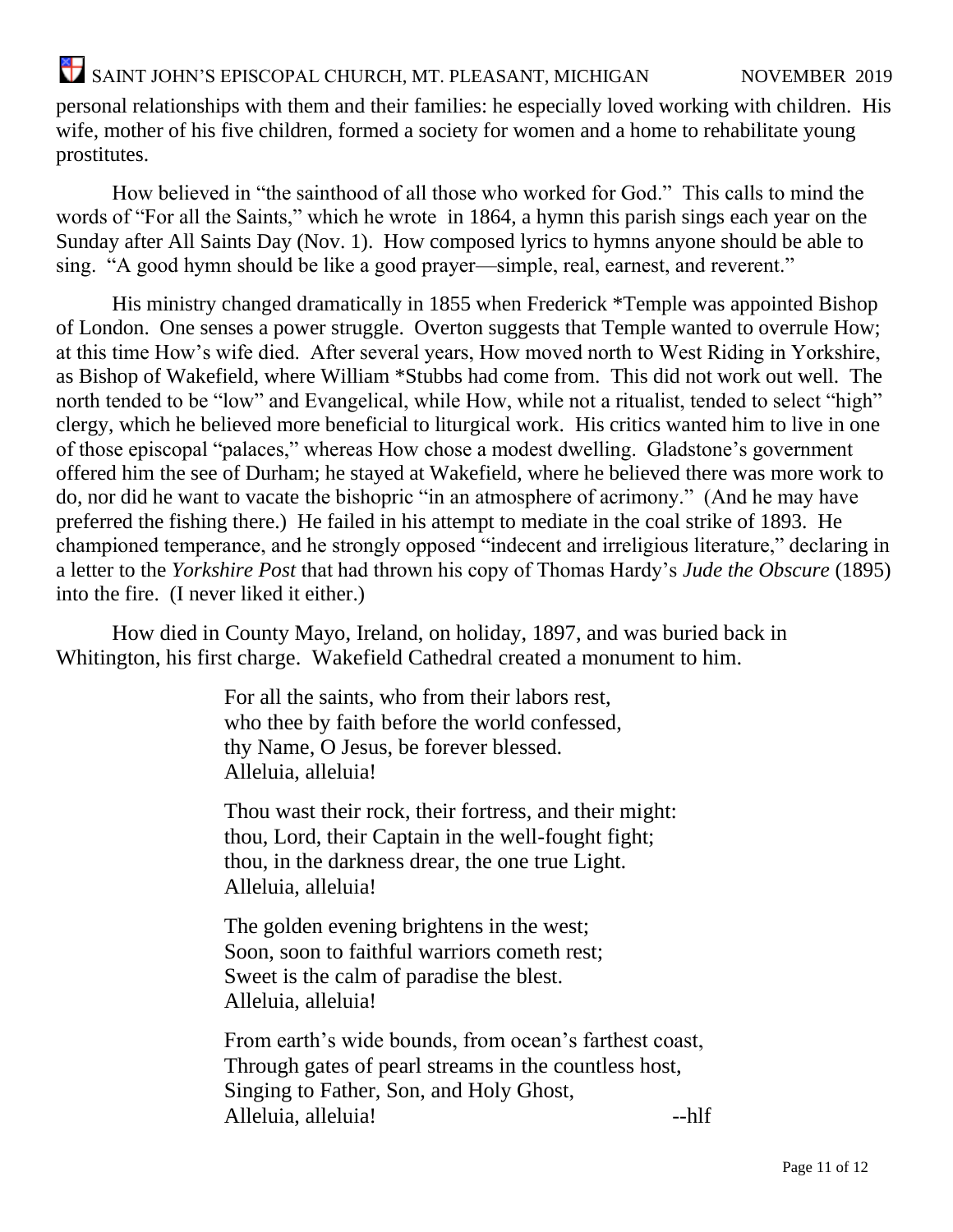personal relationships with them and their families: he especially loved working with children. His wife, mother of his five children, formed a society for women and a home to rehabilitate young prostitutes.

How believed in "the sainthood of all those who worked for God." This calls to mind the words of "For all the Saints," which he wrote in 1864, a hymn this parish sings each year on the Sunday after All Saints Day (Nov. 1). How composed lyrics to hymns anyone should be able to sing. "A good hymn should be like a good prayer—simple, real, earnest, and reverent."

His ministry changed dramatically in 1855 when Frederick \*Temple was appointed Bishop of London. One senses a power struggle. Overton suggests that Temple wanted to overrule How; at this time How's wife died. After several years, How moved north to West Riding in Yorkshire, as Bishop of Wakefield, where William \*Stubbs had come from. This did not work out well. The north tended to be "low" and Evangelical, while How, while not a ritualist, tended to select "high" clergy, which he believed more beneficial to liturgical work. His critics wanted him to live in one of those episcopal "palaces," whereas How chose a modest dwelling. Gladstone's government offered him the see of Durham; he stayed at Wakefield, where he believed there was more work to do, nor did he want to vacate the bishopric "in an atmosphere of acrimony." (And he may have preferred the fishing there.) He failed in his attempt to mediate in the coal strike of 1893. He championed temperance, and he strongly opposed "indecent and irreligious literature," declaring in a letter to the *Yorkshire Post* that had thrown his copy of Thomas Hardy's *Jude the Obscure* (1895) into the fire. (I never liked it either.)

How died in County Mayo, Ireland, on holiday, 1897, and was buried back in Whitington, his first charge. Wakefield Cathedral created a monument to him.

> For all the saints, who from their labors rest, who thee by faith before the world confessed, thy Name, O Jesus, be forever blessed. Alleluia, alleluia!

Thou wast their rock, their fortress, and their might: thou, Lord, their Captain in the well-fought fight; thou, in the darkness drear, the one true Light. Alleluia, alleluia!

The golden evening brightens in the west; Soon, soon to faithful warriors cometh rest; Sweet is the calm of paradise the blest. Alleluia, alleluia!

From earth's wide bounds, from ocean's farthest coast, Through gates of pearl streams in the countless host, Singing to Father, Son, and Holy Ghost, Alleluia, alleluia! --hlf